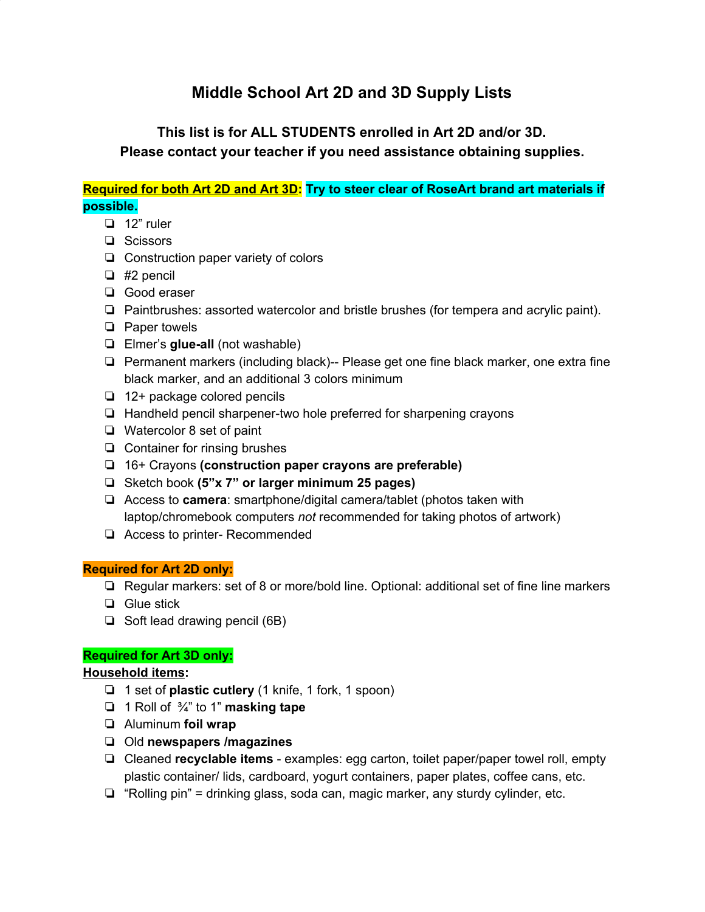# **Middle School Art 2D and 3D Supply Lists**

# **This list is for ALL STUDENTS enrolled in Art 2D and/or 3D. Please contact your teacher if you need assistance obtaining supplies.**

## **Required for both Art 2D and Art 3D: Try to steer clear of RoseArt brand art materials if possible.**

- ❏ 12" ruler
- ❏ Scissors
- ❏ Construction paper variety of colors
- ❏ #2 pencil
- ❏ Good eraser
- ❏ Paintbrushes: assorted watercolor and bristle brushes (for tempera and acrylic paint).
- ❏ Paper towels
- ❏ Elmer's **glue-all** (not washable)
- ❏ Permanent markers (including black)-- Please get one fine black marker, one extra fine black marker, and an additional 3 colors minimum
- ❏ 12+ package colored pencils
- ❏ Handheld pencil sharpener-two hole preferred for sharpening crayons
- ❏ Watercolor 8 set of paint
- ❏ Container for rinsing brushes
- ❏ 16+ Crayons **(construction paper crayons are preferable)**
- ❏ Sketch book **(5"x 7" or larger minimum 25 pages)**
- ❏ Access to **camera**: smartphone/digital camera/tablet (photos taken with laptop/chromebook computers *not* recommended for taking photos of artwork)
- ❏ Access to printer- Recommended

#### **Required for Art 2D only:**

- ❏ Regular markers: set of 8 or more/bold line. Optional: additional set of fine line markers
- ❏ Glue stick
- ❏ Soft lead drawing pencil (6B)

#### **Required for Art 3D only:**

#### **Household items:**

- ❏ 1 set of **plastic cutlery** (1 knife, 1 fork, 1 spoon)
- ❏ 1 Roll of ¾" to 1" **masking tape**
- ❏ Aluminum **foil wrap**
- ❏ Old **newspapers /magazines**
- ❏ Cleaned **recyclable items** examples: egg carton, toilet paper/paper towel roll, empty plastic container/ lids, cardboard, yogurt containers, paper plates, coffee cans, etc.
- ❏ "Rolling pin" = drinking glass, soda can, magic marker, any sturdy cylinder, etc.